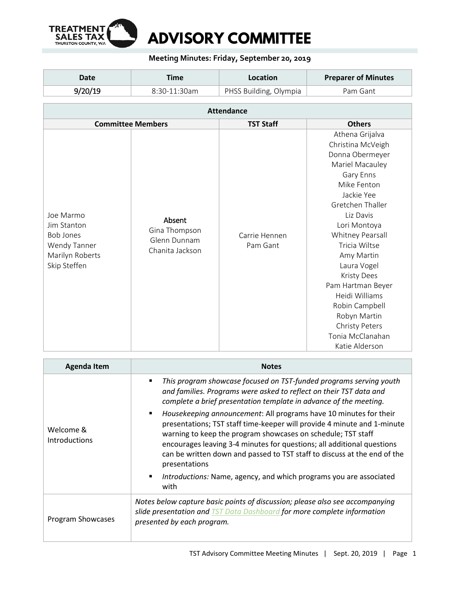

## **Meeting Minutes: Friday, September 20, 2019**

| Date    | Time         | Location               | <b>Preparer of Minutes</b> |
|---------|--------------|------------------------|----------------------------|
| 9/20/19 | 8:30-11:30am | PHSS Building, Olympia | Pam Gant                   |

| <b>Attendance</b>                                                                               |                                                            |                           |                                                                                                                                                                                                                                                                                                                                                                                                |
|-------------------------------------------------------------------------------------------------|------------------------------------------------------------|---------------------------|------------------------------------------------------------------------------------------------------------------------------------------------------------------------------------------------------------------------------------------------------------------------------------------------------------------------------------------------------------------------------------------------|
|                                                                                                 | <b>Committee Members</b>                                   | <b>TST Staff</b>          | <b>Others</b>                                                                                                                                                                                                                                                                                                                                                                                  |
| Joe Marmo<br>Jim Stanton<br><b>Bob Jones</b><br>Wendy Tanner<br>Marilyn Roberts<br>Skip Steffen | Absent<br>Gina Thompson<br>Glenn Dunnam<br>Chanita Jackson | Carrie Hennen<br>Pam Gant | Athena Grijalva<br>Christina McVeigh<br>Donna Obermeyer<br>Mariel Macauley<br>Gary Enns<br>Mike Fenton<br>Jackie Yee<br>Gretchen Thaller<br>Liz Davis<br>Lori Montoya<br>Whitney Pearsall<br>Tricia Wiltse<br>Amy Martin<br>Laura Vogel<br><b>Kristy Dees</b><br>Pam Hartman Beyer<br>Heidi Williams<br>Robin Campbell<br>Robyn Martin<br>Christy Peters<br>Tonia McClanahan<br>Katie Alderson |

| <b>Agenda Item</b>                | <b>Notes</b>                                                                                                                                                                                                                                                                                                                                                                                                                                                                                                                                                                                                                                                                                              |  |
|-----------------------------------|-----------------------------------------------------------------------------------------------------------------------------------------------------------------------------------------------------------------------------------------------------------------------------------------------------------------------------------------------------------------------------------------------------------------------------------------------------------------------------------------------------------------------------------------------------------------------------------------------------------------------------------------------------------------------------------------------------------|--|
| Welcome &<br><b>Introductions</b> | This program showcase focused on TST-funded programs serving youth<br>and families. Programs were asked to reflect on their TST data and<br>complete a brief presentation template in advance of the meeting.<br>Housekeeping announcement: All programs have 10 minutes for their<br>$\blacksquare$<br>presentations; TST staff time-keeper will provide 4 minute and 1-minute<br>warning to keep the program showcases on schedule; TST staff<br>encourages leaving 3-4 minutes for questions; all additional questions<br>can be written down and passed to TST staff to discuss at the end of the<br>presentations<br>Introductions: Name, agency, and which programs you are associated<br>٠<br>with |  |
| Program Showcases                 | Notes below capture basic points of discussion; please also see accompanying<br>slide presentation and TST Data Dashboard for more complete information<br>presented by each program.                                                                                                                                                                                                                                                                                                                                                                                                                                                                                                                     |  |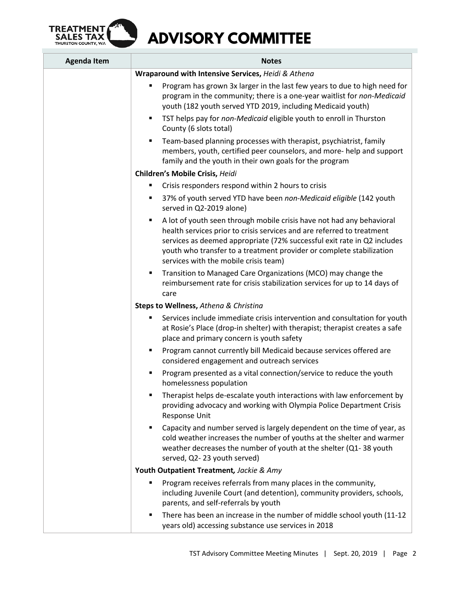

| <b>Agenda Item</b> | <b>Notes</b>                                                                                                                                                                                                                                                                                                                                     |  |
|--------------------|--------------------------------------------------------------------------------------------------------------------------------------------------------------------------------------------------------------------------------------------------------------------------------------------------------------------------------------------------|--|
|                    | Wraparound with Intensive Services, Heidi & Athena                                                                                                                                                                                                                                                                                               |  |
|                    | Program has grown 3x larger in the last few years to due to high need for<br>٠<br>program in the community; there is a one-year waitlist for non-Medicaid<br>youth (182 youth served YTD 2019, including Medicaid youth)                                                                                                                         |  |
|                    | TST helps pay for non-Medicaid eligible youth to enroll in Thurston<br>$\blacksquare$<br>County (6 slots total)                                                                                                                                                                                                                                  |  |
|                    | Team-based planning processes with therapist, psychiatrist, family<br>٠<br>members, youth, certified peer counselors, and more-help and support<br>family and the youth in their own goals for the program                                                                                                                                       |  |
|                    | Children's Mobile Crisis, Heidi                                                                                                                                                                                                                                                                                                                  |  |
|                    | Crisis responders respond within 2 hours to crisis<br>٠                                                                                                                                                                                                                                                                                          |  |
|                    | 37% of youth served YTD have been non-Medicaid eligible (142 youth<br>٠<br>served in Q2-2019 alone)                                                                                                                                                                                                                                              |  |
|                    | A lot of youth seen through mobile crisis have not had any behavioral<br>٠<br>health services prior to crisis services and are referred to treatment<br>services as deemed appropriate (72% successful exit rate in Q2 includes<br>youth who transfer to a treatment provider or complete stabilization<br>services with the mobile crisis team) |  |
|                    | Transition to Managed Care Organizations (MCO) may change the<br>٠<br>reimbursement rate for crisis stabilization services for up to 14 days of<br>care                                                                                                                                                                                          |  |
|                    | Steps to Wellness, Athena & Christina                                                                                                                                                                                                                                                                                                            |  |
|                    | Services include immediate crisis intervention and consultation for youth<br>٠<br>at Rosie's Place (drop-in shelter) with therapist; therapist creates a safe<br>place and primary concern is youth safety                                                                                                                                       |  |
|                    | Program cannot currently bill Medicaid because services offered are<br>٠<br>considered engagement and outreach services                                                                                                                                                                                                                          |  |
|                    | Program presented as a vital connection/service to reduce the youth<br>homelessness population                                                                                                                                                                                                                                                   |  |
|                    | Therapist helps de-escalate youth interactions with law enforcement by<br>٠<br>providing advocacy and working with Olympia Police Department Crisis<br>Response Unit                                                                                                                                                                             |  |
|                    | Capacity and number served is largely dependent on the time of year, as<br>٠<br>cold weather increases the number of youths at the shelter and warmer<br>weather decreases the number of youth at the shelter (Q1-38 youth<br>served, Q2-23 youth served)                                                                                        |  |
|                    | Youth Outpatient Treatment, Jackie & Amy                                                                                                                                                                                                                                                                                                         |  |
|                    | Program receives referrals from many places in the community,<br>٠<br>including Juvenile Court (and detention), community providers, schools,<br>parents, and self-referrals by youth                                                                                                                                                            |  |
|                    | There has been an increase in the number of middle school youth (11-12<br>٠<br>years old) accessing substance use services in 2018                                                                                                                                                                                                               |  |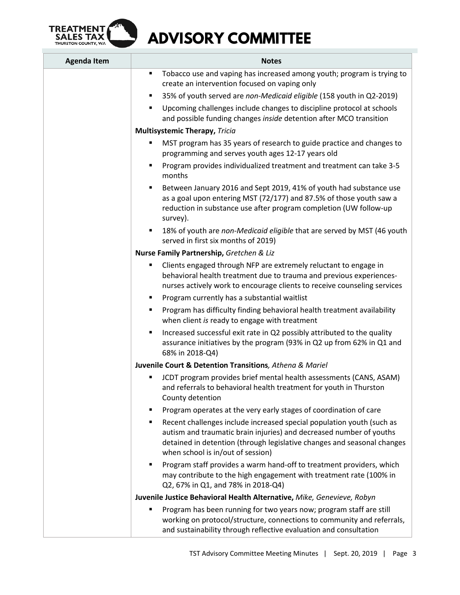

| <b>Agenda Item</b> | <b>Notes</b>                                                                                                                                                                                                                                                      |
|--------------------|-------------------------------------------------------------------------------------------------------------------------------------------------------------------------------------------------------------------------------------------------------------------|
|                    | Tobacco use and vaping has increased among youth; program is trying to<br>П<br>create an intervention focused on vaping only<br>35% of youth served are non-Medicaid eligible (158 youth in Q2-2019)<br>٠                                                         |
|                    | Upcoming challenges include changes to discipline protocol at schools<br>٠<br>and possible funding changes <i>inside</i> detention after MCO transition                                                                                                           |
|                    | <b>Multisystemic Therapy, Tricia</b>                                                                                                                                                                                                                              |
|                    | MST program has 35 years of research to guide practice and changes to<br>٠<br>programming and serves youth ages 12-17 years old                                                                                                                                   |
|                    | Program provides individualized treatment and treatment can take 3-5<br>٠<br>months                                                                                                                                                                               |
|                    | Between January 2016 and Sept 2019, 41% of youth had substance use<br>٠<br>as a goal upon entering MST (72/177) and 87.5% of those youth saw a<br>reduction in substance use after program completion (UW follow-up<br>survey).                                   |
|                    | 18% of youth are non-Medicaid eligible that are served by MST (46 youth<br>٠<br>served in first six months of 2019)                                                                                                                                               |
|                    | Nurse Family Partnership, Gretchen & Liz                                                                                                                                                                                                                          |
|                    | Clients engaged through NFP are extremely reluctant to engage in<br>behavioral health treatment due to trauma and previous experiences-<br>nurses actively work to encourage clients to receive counseling services                                               |
|                    | Program currently has a substantial waitlist<br>٠                                                                                                                                                                                                                 |
|                    | Program has difficulty finding behavioral health treatment availability<br>٠<br>when client is ready to engage with treatment                                                                                                                                     |
|                    | Increased successful exit rate in Q2 possibly attributed to the quality<br>٠<br>assurance initiatives by the program (93% in Q2 up from 62% in Q1 and<br>68% in 2018-Q4)                                                                                          |
|                    | Juvenile Court & Detention Transitions, Athena & Mariel                                                                                                                                                                                                           |
|                    | JCDT program provides brief mental health assessments (CANS, ASAM)<br>and referrals to behavioral health treatment for youth in Thurston<br>County detention                                                                                                      |
|                    | Program operates at the very early stages of coordination of care                                                                                                                                                                                                 |
|                    | Recent challenges include increased special population youth (such as<br>٠<br>autism and traumatic brain injuries) and decreased number of youths<br>detained in detention (through legislative changes and seasonal changes<br>when school is in/out of session) |
|                    | Program staff provides a warm hand-off to treatment providers, which<br>п<br>may contribute to the high engagement with treatment rate (100% in<br>Q2, 67% in Q1, and 78% in 2018-Q4)                                                                             |
|                    | Juvenile Justice Behavioral Health Alternative, Mike, Genevieve, Robyn                                                                                                                                                                                            |
|                    | Program has been running for two years now; program staff are still<br>working on protocol/structure, connections to community and referrals,<br>and sustainability through reflective evaluation and consultation                                                |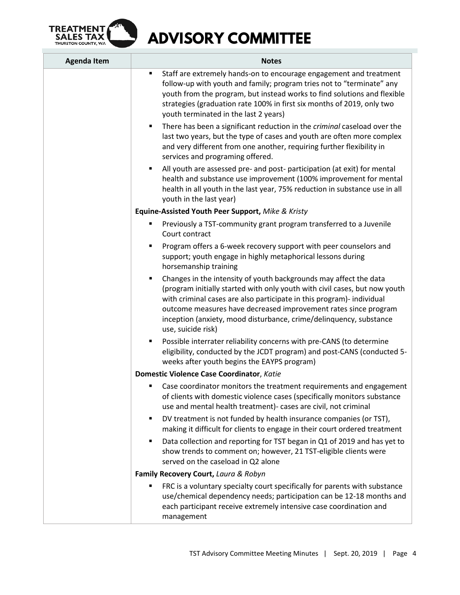

| <b>Agenda Item</b> | <b>Notes</b>                                                                                                                                                                                                                                                                                                                                                                            |  |
|--------------------|-----------------------------------------------------------------------------------------------------------------------------------------------------------------------------------------------------------------------------------------------------------------------------------------------------------------------------------------------------------------------------------------|--|
|                    | Staff are extremely hands-on to encourage engagement and treatment<br>٠<br>follow-up with youth and family; program tries not to "terminate" any<br>youth from the program, but instead works to find solutions and flexible<br>strategies (graduation rate 100% in first six months of 2019, only two<br>youth terminated in the last 2 years)                                         |  |
|                    | There has been a significant reduction in the criminal caseload over the<br>٠.<br>last two years, but the type of cases and youth are often more complex<br>and very different from one another, requiring further flexibility in<br>services and programing offered.                                                                                                                   |  |
|                    | All youth are assessed pre- and post- participation (at exit) for mental<br>٠<br>health and substance use improvement (100% improvement for mental<br>health in all youth in the last year, 75% reduction in substance use in all<br>youth in the last year)                                                                                                                            |  |
|                    | Equine-Assisted Youth Peer Support, Mike & Kristy                                                                                                                                                                                                                                                                                                                                       |  |
|                    | Previously a TST-community grant program transferred to a Juvenile<br>٠<br>Court contract                                                                                                                                                                                                                                                                                               |  |
|                    | Program offers a 6-week recovery support with peer counselors and<br>٠<br>support; youth engage in highly metaphorical lessons during<br>horsemanship training                                                                                                                                                                                                                          |  |
|                    | Changes in the intensity of youth backgrounds may affect the data<br>(program initially started with only youth with civil cases, but now youth<br>with criminal cases are also participate in this program)- individual<br>outcome measures have decreased improvement rates since program<br>inception (anxiety, mood disturbance, crime/delinquency, substance<br>use, suicide risk) |  |
|                    | Possible interrater reliability concerns with pre-CANS (to determine<br>٠<br>eligibility, conducted by the JCDT program) and post-CANS (conducted 5-<br>weeks after youth begins the EAYPS program)                                                                                                                                                                                     |  |
|                    | Domestic Violence Case Coordinator, Katie                                                                                                                                                                                                                                                                                                                                               |  |
|                    | Case coordinator monitors the treatment requirements and engagement<br>٠<br>of clients with domestic violence cases (specifically monitors substance<br>use and mental health treatment)- cases are civil, not criminal                                                                                                                                                                 |  |
|                    | DV treatment is not funded by health insurance companies (or TST),<br>٠<br>making it difficult for clients to engage in their court ordered treatment                                                                                                                                                                                                                                   |  |
|                    | Data collection and reporting for TST began in Q1 of 2019 and has yet to<br>٠<br>show trends to comment on; however, 21 TST-eligible clients were<br>served on the caseload in Q2 alone                                                                                                                                                                                                 |  |
|                    | Family Recovery Court, Laura & Robyn                                                                                                                                                                                                                                                                                                                                                    |  |
|                    | FRC is a voluntary specialty court specifically for parents with substance<br>٠<br>use/chemical dependency needs; participation can be 12-18 months and<br>each participant receive extremely intensive case coordination and<br>management                                                                                                                                             |  |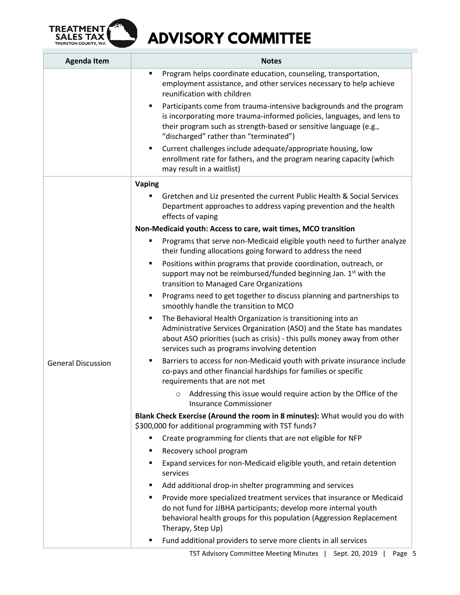

| <b>Agenda Item</b>        | <b>Notes</b>                                                                                                                                                                                                                                                           |  |
|---------------------------|------------------------------------------------------------------------------------------------------------------------------------------------------------------------------------------------------------------------------------------------------------------------|--|
|                           | Program helps coordinate education, counseling, transportation,<br>٠<br>employment assistance, and other services necessary to help achieve<br>reunification with children                                                                                             |  |
|                           | Participants come from trauma-intensive backgrounds and the program<br>п<br>is incorporating more trauma-informed policies, languages, and lens to<br>their program such as strength-based or sensitive language (e.g.,<br>"discharged" rather than "terminated")      |  |
|                           | Current challenges include adequate/appropriate housing, low<br>٠<br>enrollment rate for fathers, and the program nearing capacity (which<br>may result in a waitlist)                                                                                                 |  |
|                           | <b>Vaping</b>                                                                                                                                                                                                                                                          |  |
|                           | Gretchen and Liz presented the current Public Health & Social Services<br>Department approaches to address vaping prevention and the health<br>effects of vaping                                                                                                       |  |
|                           | Non-Medicaid youth: Access to care, wait times, MCO transition                                                                                                                                                                                                         |  |
|                           | Programs that serve non-Medicaid eligible youth need to further analyze<br>Ξ<br>their funding allocations going forward to address the need                                                                                                                            |  |
|                           | Positions within programs that provide coordination, outreach, or<br>٠<br>support may not be reimbursed/funded beginning Jan. 1st with the<br>transition to Managed Care Organizations                                                                                 |  |
|                           | Programs need to get together to discuss planning and partnerships to<br>٠<br>smoothly handle the transition to MCO                                                                                                                                                    |  |
|                           | The Behavioral Health Organization is transitioning into an<br>٠<br>Administrative Services Organization (ASO) and the State has mandates<br>about ASO priorities (such as crisis) - this pulls money away from other<br>services such as programs involving detention |  |
| <b>General Discussion</b> | Barriers to access for non-Medicaid youth with private insurance include<br>٠<br>co-pays and other financial hardships for families or specific<br>requirements that are not met                                                                                       |  |
|                           | Addressing this issue would require action by the Office of the<br><b>Insurance Commissioner</b>                                                                                                                                                                       |  |
|                           | Blank Check Exercise (Around the room in 8 minutes): What would you do with<br>\$300,000 for additional programming with TST funds?                                                                                                                                    |  |
|                           | Create programming for clients that are not eligible for NFP                                                                                                                                                                                                           |  |
|                           | Recovery school program<br>٠                                                                                                                                                                                                                                           |  |
|                           | Expand services for non-Medicaid eligible youth, and retain detention<br>٠<br>services                                                                                                                                                                                 |  |
|                           | Add additional drop-in shelter programming and services<br>٠                                                                                                                                                                                                           |  |
|                           | Provide more specialized treatment services that insurance or Medicaid<br>٠<br>do not fund for JJBHA participants; develop more internal youth<br>behavioral health groups for this population (Aggression Replacement<br>Therapy, Step Up)                            |  |
|                           | Fund additional providers to serve more clients in all services<br>٠                                                                                                                                                                                                   |  |